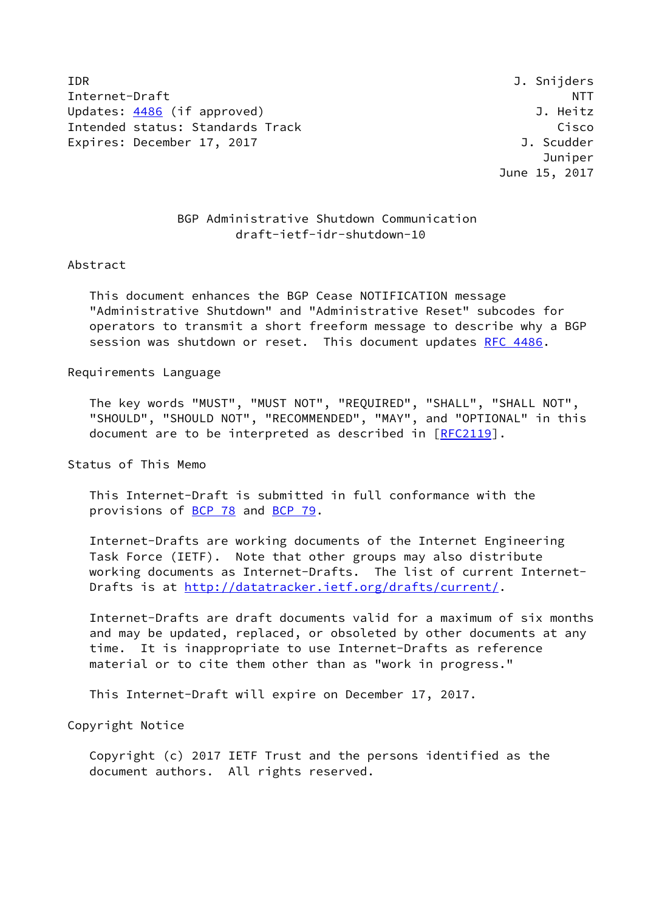IDR J. Snijders Internet-Draft NTT Updates: [4486](https://datatracker.ietf.org/doc/pdf/rfc4486) (if approved) and the set of the set of the set of the set of the set of the set of the set of the set of the set of the set of the set of the set of the set of the set of the set of the set of the set of the Intended status: Standards Track Cisco Cisco Expires: December 17, 2017 **J. Scudder** 

 Juniper June 15, 2017

## BGP Administrative Shutdown Communication draft-ietf-idr-shutdown-10

## Abstract

 This document enhances the BGP Cease NOTIFICATION message "Administrative Shutdown" and "Administrative Reset" subcodes for operators to transmit a short freeform message to describe why a BGP session was shutdown or reset. This document updates [RFC 4486](https://datatracker.ietf.org/doc/pdf/rfc4486).

## Requirements Language

 The key words "MUST", "MUST NOT", "REQUIRED", "SHALL", "SHALL NOT", "SHOULD", "SHOULD NOT", "RECOMMENDED", "MAY", and "OPTIONAL" in this document are to be interpreted as described in [\[RFC2119](https://datatracker.ietf.org/doc/pdf/rfc2119)].

Status of This Memo

 This Internet-Draft is submitted in full conformance with the provisions of [BCP 78](https://datatracker.ietf.org/doc/pdf/bcp78) and [BCP 79](https://datatracker.ietf.org/doc/pdf/bcp79).

 Internet-Drafts are working documents of the Internet Engineering Task Force (IETF). Note that other groups may also distribute working documents as Internet-Drafts. The list of current Internet Drafts is at<http://datatracker.ietf.org/drafts/current/>.

 Internet-Drafts are draft documents valid for a maximum of six months and may be updated, replaced, or obsoleted by other documents at any time. It is inappropriate to use Internet-Drafts as reference material or to cite them other than as "work in progress."

This Internet-Draft will expire on December 17, 2017.

Copyright Notice

 Copyright (c) 2017 IETF Trust and the persons identified as the document authors. All rights reserved.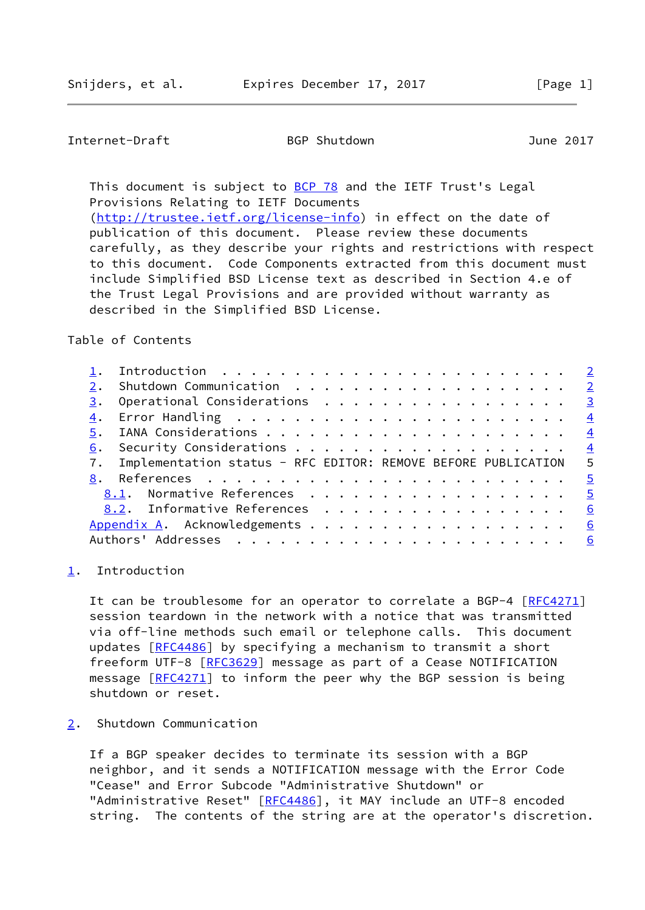<span id="page-1-1"></span>Internet-Draft BGP Shutdown June 2017

This document is subject to [BCP 78](https://datatracker.ietf.org/doc/pdf/bcp78) and the IETF Trust's Legal Provisions Relating to IETF Documents [\(http://trustee.ietf.org/license-info](http://trustee.ietf.org/license-info)) in effect on the date of publication of this document. Please review these documents

 carefully, as they describe your rights and restrictions with respect to this document. Code Components extracted from this document must include Simplified BSD License text as described in Section 4.e of the Trust Legal Provisions and are provided without warranty as described in the Simplified BSD License.

Table of Contents

|    |                                                                    | $\overline{2}$          |
|----|--------------------------------------------------------------------|-------------------------|
| 3. | Operational Considerations                                         | $\overline{\mathbf{3}}$ |
|    |                                                                    | $\frac{4}{3}$           |
| 5. |                                                                    | $\overline{4}$          |
| 6. |                                                                    |                         |
|    | 7. Implementation status - RFC EDITOR: REMOVE BEFORE PUBLICATION 5 |                         |
|    |                                                                    | $-5$                    |
|    | 8.1. Normative References                                          | $\overline{5}$          |
|    | 8.2. Informative References                                        | 6                       |
|    |                                                                    | 6                       |
|    | <u>6</u>                                                           |                         |
|    |                                                                    |                         |

<span id="page-1-0"></span>[1](#page-1-0). Introduction

It can be troublesome for an operator to correlate a BGP-4 [[RFC4271\]](https://datatracker.ietf.org/doc/pdf/rfc4271) session teardown in the network with a notice that was transmitted via off-line methods such email or telephone calls. This document updates [\[RFC4486](https://datatracker.ietf.org/doc/pdf/rfc4486)] by specifying a mechanism to transmit a short freeform UTF-8 [\[RFC3629](https://datatracker.ietf.org/doc/pdf/rfc3629)] message as part of a Cease NOTIFICATION message [\[RFC4271](https://datatracker.ietf.org/doc/pdf/rfc4271)] to inform the peer why the BGP session is being shutdown or reset.

<span id="page-1-2"></span>[2](#page-1-2). Shutdown Communication

 If a BGP speaker decides to terminate its session with a BGP neighbor, and it sends a NOTIFICATION message with the Error Code "Cease" and Error Subcode "Administrative Shutdown" or "Administrative Reset" [\[RFC4486](https://datatracker.ietf.org/doc/pdf/rfc4486)], it MAY include an UTF-8 encoded string. The contents of the string are at the operator's discretion.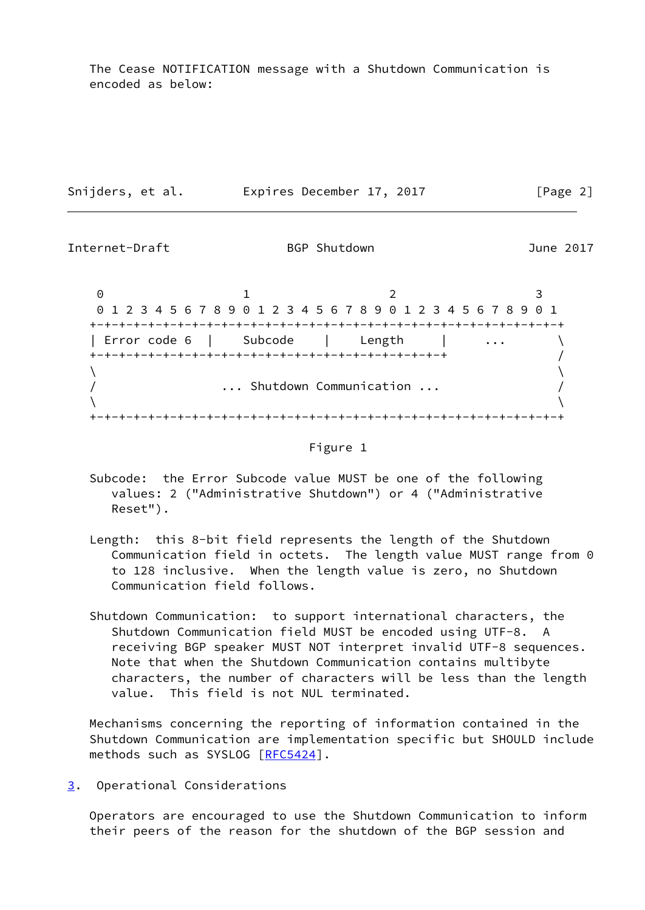The Cease NOTIFICATION message with a Shutdown Communication is encoded as below:

| Snijders, et al. | Expires December 17, 2017 | [Page 2] |
|------------------|---------------------------|----------|
|                  |                           |          |

<span id="page-2-1"></span>Internet-Draft BGP Shutdown BGP Shutdown June 2017 0 1 2 3 0 1 2 3 4 5 6 7 8 9 0 1 2 3 4 5 6 7 8 9 0 1 2 3 4 5 6 7 8 9 0 1 +-+-+-+-+-+-+-+-+-+-+-+-+-+-+-+-+-+-+-+-+-+-+-+-+-+-+-+-+-+-+-+-+ | Error code 6 | Subcode Length \ +-+-+-+-+-+-+-+-+-+-+-+-+-+-+-+-+-+-+-+-+-+-+-+-+ /  $\lambda$  and  $\lambda$  and  $\lambda$  and  $\lambda$  and  $\lambda$  and  $\lambda$  and  $\lambda$  and  $\lambda$  and  $\lambda$  and  $\lambda$  and  $\lambda$  and  $\lambda$  and  $\lambda$  and  $\lambda$  and  $\lambda$  and  $\lambda$  and  $\lambda$  and  $\lambda$  and  $\lambda$  and  $\lambda$  and  $\lambda$  and  $\lambda$  and  $\lambda$  and  $\lambda$  and  $\lambda$  / ... Shutdown Communication ... /  $\lambda$  and  $\lambda$  and  $\lambda$  and  $\lambda$  and  $\lambda$  and  $\lambda$  and  $\lambda$  and  $\lambda$  and  $\lambda$  and  $\lambda$  and  $\lambda$  and  $\lambda$  and  $\lambda$  and  $\lambda$  and  $\lambda$  and  $\lambda$  and  $\lambda$  and  $\lambda$  and  $\lambda$  and  $\lambda$  and  $\lambda$  and  $\lambda$  and  $\lambda$  and  $\lambda$  and  $\lambda$  +-+-+-+-+-+-+-+-+-+-+-+-+-+-+-+-+-+-+-+-+-+-+-+-+-+-+-+-+-+-+-+-+



- Subcode: the Error Subcode value MUST be one of the following values: 2 ("Administrative Shutdown") or 4 ("Administrative Reset").
- Length: this 8-bit field represents the length of the Shutdown Communication field in octets. The length value MUST range from 0 to 128 inclusive. When the length value is zero, no Shutdown Communication field follows.
- Shutdown Communication: to support international characters, the Shutdown Communication field MUST be encoded using UTF-8. A receiving BGP speaker MUST NOT interpret invalid UTF-8 sequences. Note that when the Shutdown Communication contains multibyte characters, the number of characters will be less than the length value. This field is not NUL terminated.

 Mechanisms concerning the reporting of information contained in the Shutdown Communication are implementation specific but SHOULD include methods such as SYSLOG [\[RFC5424](https://datatracker.ietf.org/doc/pdf/rfc5424)].

<span id="page-2-0"></span>[3](#page-2-0). Operational Considerations

 Operators are encouraged to use the Shutdown Communication to inform their peers of the reason for the shutdown of the BGP session and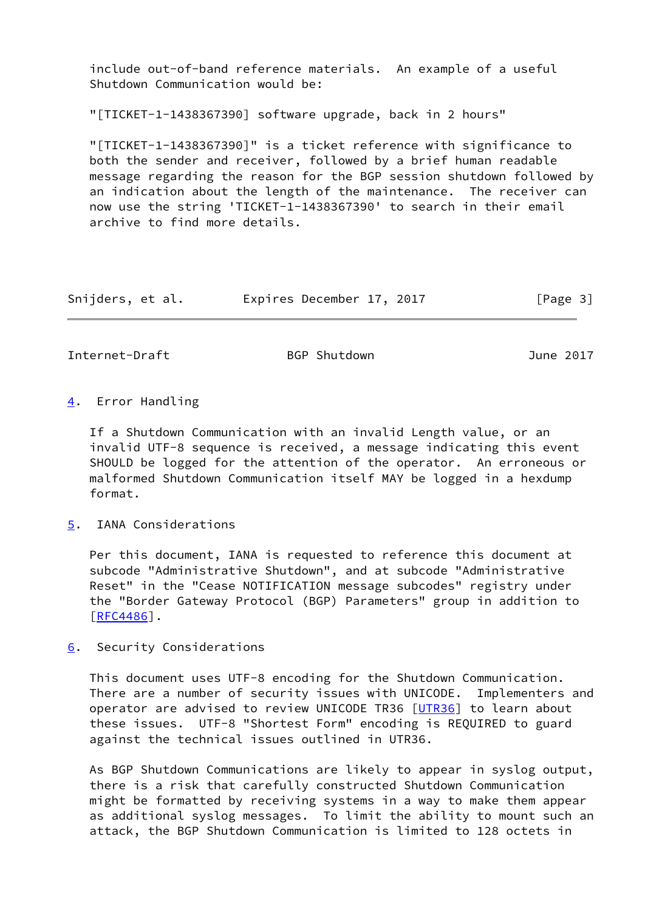include out-of-band reference materials. An example of a useful Shutdown Communication would be:

"[TICKET-1-1438367390] software upgrade, back in 2 hours"

 "[TICKET-1-1438367390]" is a ticket reference with significance to both the sender and receiver, followed by a brief human readable message regarding the reason for the BGP session shutdown followed by an indication about the length of the maintenance. The receiver can now use the string 'TICKET-1-1438367390' to search in their email archive to find more details.

| Snijders, et al. | Expires December 17, 2017 |  | [Page 3] |
|------------------|---------------------------|--|----------|
|------------------|---------------------------|--|----------|

<span id="page-3-1"></span>Internet-Draft BGP Shutdown BGP Shutdown June 2017

<span id="page-3-0"></span>[4](#page-3-0). Error Handling

 If a Shutdown Communication with an invalid Length value, or an invalid UTF-8 sequence is received, a message indicating this event SHOULD be logged for the attention of the operator. An erroneous or malformed Shutdown Communication itself MAY be logged in a hexdump format.

<span id="page-3-2"></span>[5](#page-3-2). IANA Considerations

 Per this document, IANA is requested to reference this document at subcode "Administrative Shutdown", and at subcode "Administrative Reset" in the "Cease NOTIFICATION message subcodes" registry under the "Border Gateway Protocol (BGP) Parameters" group in addition to [\[RFC4486](https://datatracker.ietf.org/doc/pdf/rfc4486)].

<span id="page-3-3"></span>[6](#page-3-3). Security Considerations

 This document uses UTF-8 encoding for the Shutdown Communication. There are a number of security issues with UNICODE. Implementers and operator are advised to review UNICODE TR36 [\[UTR36](#page-6-1)] to learn about these issues. UTF-8 "Shortest Form" encoding is REQUIRED to guard against the technical issues outlined in UTR36.

 As BGP Shutdown Communications are likely to appear in syslog output, there is a risk that carefully constructed Shutdown Communication might be formatted by receiving systems in a way to make them appear as additional syslog messages. To limit the ability to mount such an attack, the BGP Shutdown Communication is limited to 128 octets in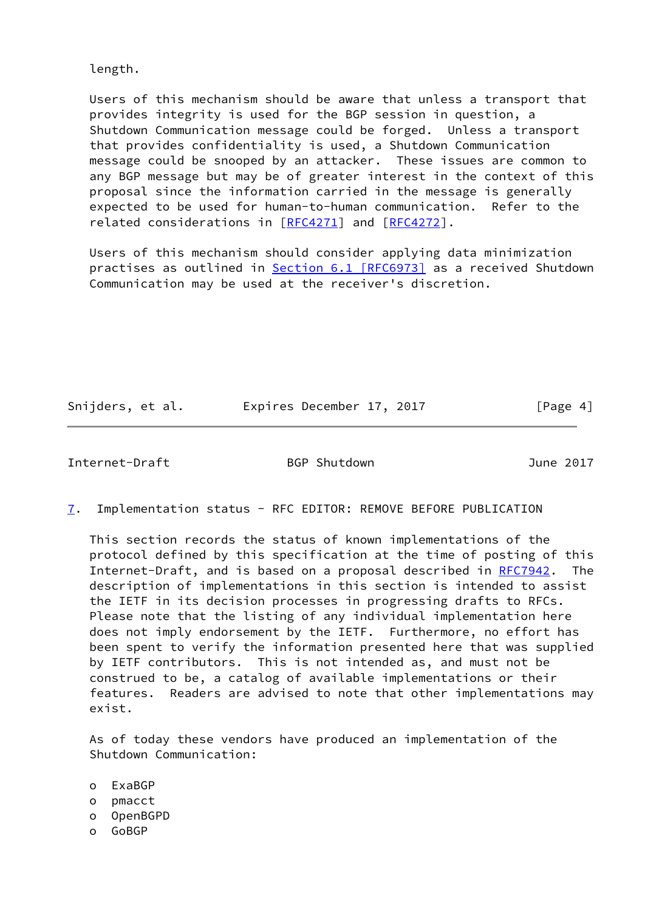length.

 Users of this mechanism should be aware that unless a transport that provides integrity is used for the BGP session in question, a Shutdown Communication message could be forged. Unless a transport that provides confidentiality is used, a Shutdown Communication message could be snooped by an attacker. These issues are common to any BGP message but may be of greater interest in the context of this proposal since the information carried in the message is generally expected to be used for human-to-human communication. Refer to the related considerations in [[RFC4271](https://datatracker.ietf.org/doc/pdf/rfc4271)] and [\[RFC4272](https://datatracker.ietf.org/doc/pdf/rfc4272)].

 Users of this mechanism should consider applying data minimization practises as outlined in Section [6.1 \[RFC6973\]](https://datatracker.ietf.org/doc/pdf/rfc6973#section-6.1) as a received Shutdown Communication may be used at the receiver's discretion.

Snijders, et al. **Expires December 17, 2017**[Page 4]

<span id="page-4-0"></span>Internet-Draft BGP Shutdown June 2017

<span id="page-4-1"></span>[7](#page-4-1). Implementation status - RFC EDITOR: REMOVE BEFORE PUBLICATION

 This section records the status of known implementations of the protocol defined by this specification at the time of posting of this Internet-Draft, and is based on a proposal described in [RFC7942](https://datatracker.ietf.org/doc/pdf/rfc7942). The description of implementations in this section is intended to assist the IETF in its decision processes in progressing drafts to RFCs. Please note that the listing of any individual implementation here does not imply endorsement by the IETF. Furthermore, no effort has been spent to verify the information presented here that was supplied by IETF contributors. This is not intended as, and must not be construed to be, a catalog of available implementations or their features. Readers are advised to note that other implementations may exist.

 As of today these vendors have produced an implementation of the Shutdown Communication:

- o ExaBGP
- o pmacct
- o OpenBGPD
- o GoBGP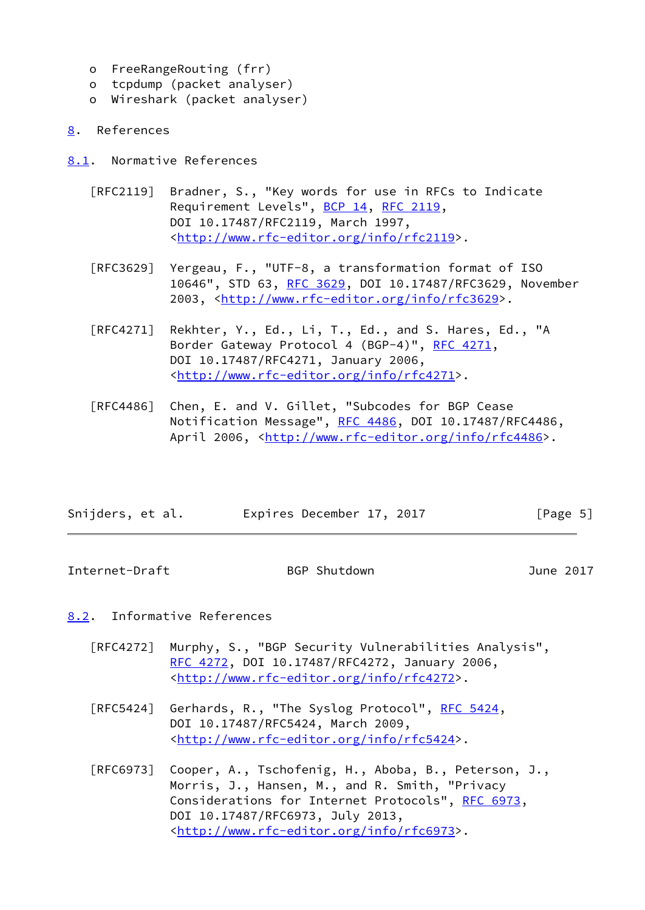- o FreeRangeRouting (frr)
- o tcpdump (packet analyser)
- o Wireshark (packet analyser)
- <span id="page-5-0"></span>[8](#page-5-0). References
- <span id="page-5-1"></span>[8.1](#page-5-1). Normative References
	- [RFC2119] Bradner, S., "Key words for use in RFCs to Indicate Requirement Levels", [BCP 14](https://datatracker.ietf.org/doc/pdf/bcp14), [RFC 2119](https://datatracker.ietf.org/doc/pdf/rfc2119), DOI 10.17487/RFC2119, March 1997, <<http://www.rfc-editor.org/info/rfc2119>>.
	- [RFC3629] Yergeau, F., "UTF-8, a transformation format of ISO 10646", STD 63, [RFC 3629,](https://datatracker.ietf.org/doc/pdf/rfc3629) DOI 10.17487/RFC3629, November 2003, [<http://www.rfc-editor.org/info/rfc3629](http://www.rfc-editor.org/info/rfc3629)>.
	- [RFC4271] Rekhter, Y., Ed., Li, T., Ed., and S. Hares, Ed., "A Border Gateway Protocol 4 (BGP-4)", [RFC 4271,](https://datatracker.ietf.org/doc/pdf/rfc4271) DOI 10.17487/RFC4271, January 2006, <<http://www.rfc-editor.org/info/rfc4271>>.
	- [RFC4486] Chen, E. and V. Gillet, "Subcodes for BGP Cease Notification Message", [RFC 4486](https://datatracker.ietf.org/doc/pdf/rfc4486), DOI 10.17487/RFC4486, April 2006, [<http://www.rfc-editor.org/info/rfc4486](http://www.rfc-editor.org/info/rfc4486)>.

| Snijders, et al. | Expires December 17, 2017 | [Page 5] |
|------------------|---------------------------|----------|
|                  |                           |          |

<span id="page-5-3"></span>Internet-Draft BGP Shutdown June 2017

## <span id="page-5-2"></span>[8.2](#page-5-2). Informative References

- [RFC4272] Murphy, S., "BGP Security Vulnerabilities Analysis", [RFC 4272,](https://datatracker.ietf.org/doc/pdf/rfc4272) DOI 10.17487/RFC4272, January 2006, <<http://www.rfc-editor.org/info/rfc4272>>.
- [RFC5424] Gerhards, R., "The Syslog Protocol", [RFC 5424](https://datatracker.ietf.org/doc/pdf/rfc5424), DOI 10.17487/RFC5424, March 2009, <<http://www.rfc-editor.org/info/rfc5424>>.
- [RFC6973] Cooper, A., Tschofenig, H., Aboba, B., Peterson, J., Morris, J., Hansen, M., and R. Smith, "Privacy Considerations for Internet Protocols", [RFC 6973,](https://datatracker.ietf.org/doc/pdf/rfc6973) DOI 10.17487/RFC6973, July 2013, <<http://www.rfc-editor.org/info/rfc6973>>.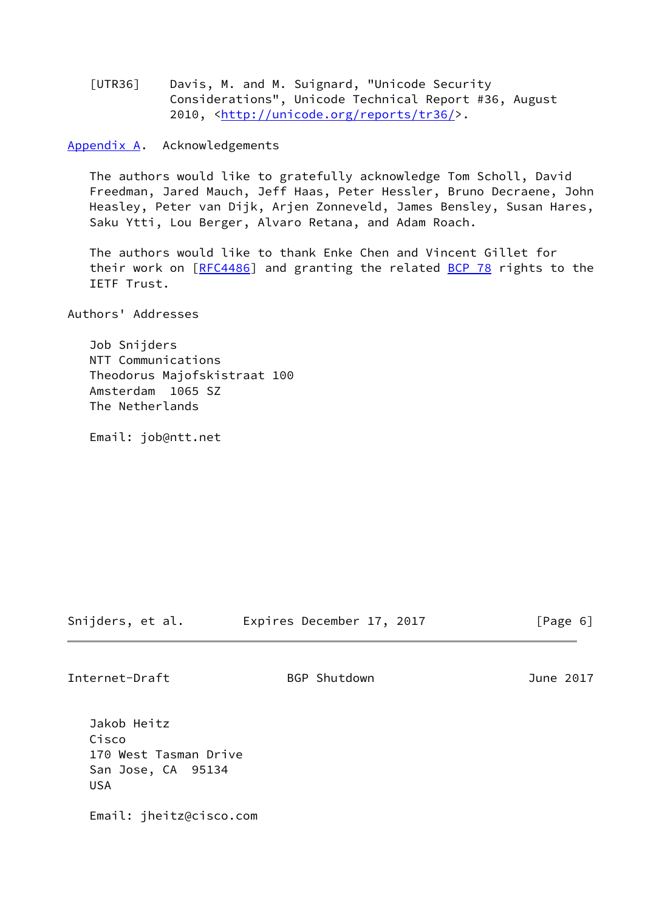<span id="page-6-1"></span> [UTR36] Davis, M. and M. Suignard, "Unicode Security Considerations", Unicode Technical Report #36, August 2010, [<http://unicode.org/reports/tr36/](http://unicode.org/reports/tr36/)>.

<span id="page-6-0"></span>[Appendix A.](#page-6-0) Acknowledgements

 The authors would like to gratefully acknowledge Tom Scholl, David Freedman, Jared Mauch, Jeff Haas, Peter Hessler, Bruno Decraene, John Heasley, Peter van Dijk, Arjen Zonneveld, James Bensley, Susan Hares, Saku Ytti, Lou Berger, Alvaro Retana, and Adam Roach.

 The authors would like to thank Enke Chen and Vincent Gillet for their work on [[RFC4486](https://datatracker.ietf.org/doc/pdf/rfc4486)] and granting the related [BCP 78](https://datatracker.ietf.org/doc/pdf/bcp78) rights to the IETF Trust.

Authors' Addresses

 Job Snijders NTT Communications Theodorus Majofskistraat 100 Amsterdam 1065 SZ The Netherlands

Email: job@ntt.net

Snijders, et al. Expires December 17, 2017 [Page 6]

Internet-Draft BGP Shutdown June 2017

 Jakob Heitz Cisco 170 West Tasman Drive San Jose, CA 95134 USA

Email: jheitz@cisco.com